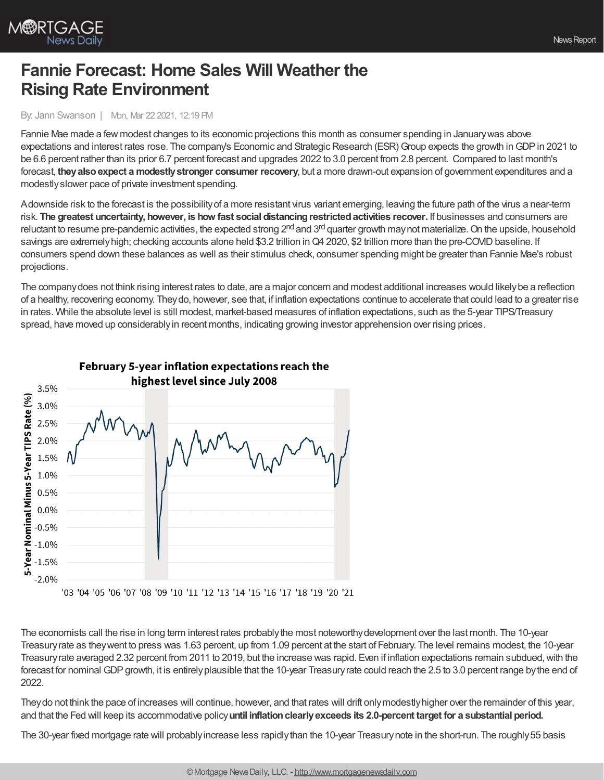

## **Fannie Forecast: Home Sales Will Weather the Rising Rate Environment**

By: Jann Swanson | Mon, Mar 22 2021, 12:19 PM

Fannie Mae made a few modest changes to its economic projections this month as consumer spending in Januarywas above expectations and interest rates rose. The company's Economic and Strategic Research (ESR) Group expects the growth in GDP in 2021 to be 6.6 percent rather than its prior 6.7 percent forecast and upgrades 2022 to 3.0 percent from 2.8 percent. Compared to last month's forecast, **theyalsoexpect a modestlystronger consumer recovery**, but a more drawn-out expansion of government expenditures and a modestlyslower pace of private investment spending.

Adownside risk to the forecast is the possibilityof a more resistant virus variant emerging, leaving the future path of the virus a near-term risk. **The greatest uncertainty, however, is how fast social distancingrestrictedactivities recover.** If businesses and consumers are reluctant to resume pre-pandemic activities, the expected strong 2<sup>nd</sup> and 3<sup>rd</sup> quarter growth may not materialize. On the upside, household savings are extremely high; checking accounts alone held \$3.2 trillion in Q4 2020, \$2 trillion more than the pre-COVID baseline. If consumers spend down these balances as well as their stimulus check, consumer spending might be greater than Fannie Mae's robust projections.

The companydoes not think rising interest rates to date, are a major concern and modest additional increases would likelybe a reflection of a healthy, recovering economy. Theydo, however, see that, if inflation expectations continue to accelerate that could lead to a greater rise in rates. While the absolute level is still modest, market-based measures of inflation expectations, such as the 5-year TIPS/Treasury spread, have moved up considerablyin recent months, indicating growing investor apprehension over rising prices.



February 5-year inflation expectations reach the

The economists call the rise in long term interest rates probablythe most noteworthydevelopment over the last month. The 10-year Treasuryrate as theywent to press was 1.63 percent, up from 1.09 percent at the start of February. The level remains modest, the 10-year Treasuryrate averaged 2.32 percent from 2011 to 2019, but the increase was rapid. Even if inflation expectations remain subdued,with the forecast for nominal GDP growth, it is entirely plausible that the 10-year Treasury rate could reach the 2.5 to 3.0 percent range by the end of 2022.

Theydo not think the pace of increases will continue, however, and that rates will drift onlymodestlyhigher over the remainder of this year, and that the Fed will keep its accommodative policy**until inflationclearlyexceeds its 2.0-percent target for a substantial period.**

The 30-year fixed mortgage rate will probablyincrease less rapidlythan the 10-year Treasurynote in the short-run. The roughly55 basis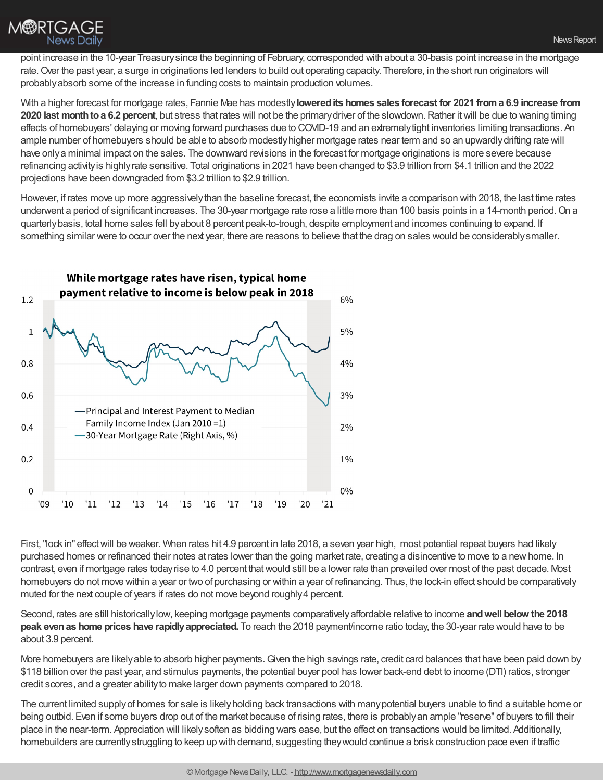

With a higher forecast for mortgage rates, Fannie Mae has modestly**loweredits homes sales forecast for 2021 froma 6.9 increase from 2020 last monthtoa 6.2 percent**, but stress that rates will not be the primarydriver of the slowdown.Rather itwill be due to waning timing effects of homebuyers' delaying or moving forward purchases due to COVID-19 and an extremelytight inventories limiting transactions. An ample number of homebuyers should be able to absorb modestlyhigher mortgage rates near term and so an upwardlydrifting rate will have onlya minimal impact on the sales. The downward revisions in the forecast for mortgage originations is more severe because refinancing activityis highlyrate sensitive. Total originations in 2021 have been changed to \$3.9 trillion from \$4.1 trillion and the 2022 projections have been downgraded from \$3.2 trillion to \$2.9 trillion.

However, if rates move up more aggressivelythan the baseline forecast, the economists invite a comparison with 2018, the last time rates underwent a period of significant increases. The 30-year mortgage rate rose a little more than 100 basis points in a 14-month period. On a quarterlybasis, total home sales fell byabout 8 percent peak-to-trough, despite employment and incomes continuing to expand. If something similar were to occur over the next year, there are reasons to believe that the drag on sales would be considerablysmaller.



First, "lock in" effect will be weaker. When rates hit 4.9 percent in late 2018, a seven year high, most potential repeat buyers had likely purchased homes or refinanced their notes at rates lower than the going market rate, creating a disincentive to move to a newhome. In contrast, even if mortgage rates todayrise to 4.0 percent thatwould still be a lower rate than prevailed over most of the past decade. Most homebuyers do not move within a year or two of purchasing or within a year of refinancing. Thus, the lock-in effect should be comparatively muted for the next couple of years if rates do not move beyond roughly4 percent.

Second, rates are still historicallylow, keeping mortgage payments comparativelyaffordable relative to income **andwell below the 2018 peak evenas home prices have rapidlyappreciated.** To reach the 2018 payment/income ratio today, the 30-year rate would have to be about 3.9 percent.

More homebuyers are likelyable to absorb higher payments.Given the high savings rate, credit card balances that have been paid down by \$118 billion over the past year, and stimulus payments, the potential buyer pool has lower back-end debt to income (DTI) ratios, stronger credit scores, and a greater abilityto make larger down payments compared to 2018.

The current limited supplyof homes for sale is likelyholding back transactions with manypotential buyers unable to find a suitable home or being outbid. Even if some buyers drop out of the market because of rising rates, there is probablyan ample "reserve" of buyers to fill their place in the near-term. Appreciation will likelysoften as bidding wars ease, but the effect on transactions would be limited. Additionally, homebuilders are currentlystruggling to keep up with demand, suggesting theywould continue a brisk construction pace even if traffic